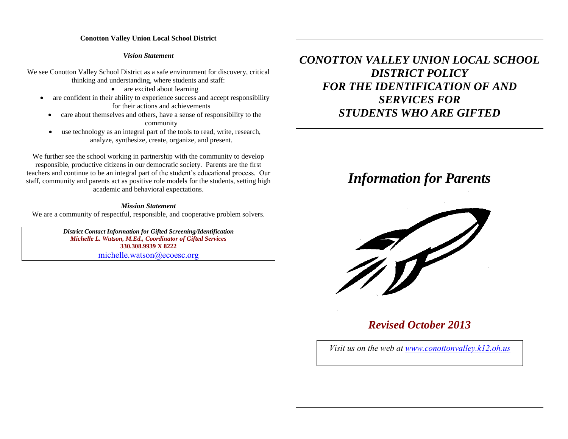### *Vision Statement*

We see Conotton Valley School District as a safe environment for discovery, critical thinking and understanding, where students and staff:

• are excited about learning

- are confident in their ability to experience success and accept responsibility for their actions and achievements
	- care about themselves and others, have a sense of responsibility to the community
	- use technology as an integral part of the tools to read, write, research, analyze, synthesize, create, organize, and present.

We further see the school working in partnership with the community to develop responsible, productive citizens in our democratic society. Parents are the first teachers and continue to be an integral part of the student's educational process. Our staff, community and parents act as positive role models for the students, setting high academic and behavioral expectations.

#### *Mission Statement*

We are a community of respectful, responsible, and cooperative problem solvers.

*District Contact Information for Gifted Screening/Identification Michelle L. Watson, M.Ed., Coordinator of Gifted Services* **330.308.9939 X 8222** [michelle.watson@ecoesc.org](mailto:michelle.watson@ecoesc.org)

*CONOTTON VALLEY UNION LOCAL SCHOOL DISTRICT POLICY FOR THE IDENTIFICATION OF AND SERVICES FOR STUDENTS WHO ARE GIFTED*

# *Information for Parents*



# *Revised October 2013*

*Visit us on the web at [www.conottonv](http://www.conotton/)alley.k12.oh.us*